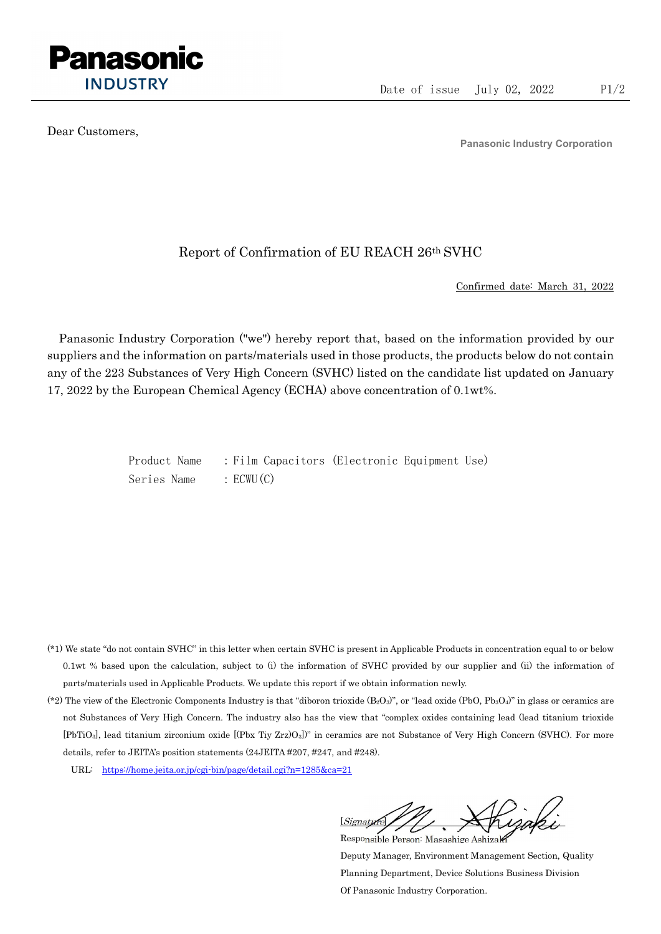

Dear Customers,

Panasonic Industry Corporation

## Report of Confirmation of EU REACH 26th SVHC

Confirmed date: March 31, 2022

Panasonic Industry Corporation ("we") hereby report that, based on the information provided by our suppliers and the information on parts/materials used in those products, the products below do not contain any of the 223 Substances of Very High Concern (SVHC) listed on the candidate list updated on January 17, 2022 by the European Chemical Agency (ECHA) above concentration of 0.1wt%.

> Product Name : Film Capacitors (Electronic Equipment Use) Series Name : ECWU(C)

- (\*1) We state "do not contain SVHC" in this letter when certain SVHC is present in Applicable Products in concentration equal to or below 0.1wt % based upon the calculation, subject to (i) the information of SVHC provided by our supplier and (ii) the information of parts/materials used in Applicable Products. We update this report if we obtain information newly.
- (\*2) The view of the Electronic Components Industry is that "diboron trioxide  $(B_2O_3)$ ", or "lead oxide (PbO, Pb<sub>3</sub>O<sub>4</sub>)" in glass or ceramics are not Substances of Very High Concern. The industry also has the view that "complex oxides containing lead (lead titanium trioxide [PbTiO3], lead titanium zirconium oxide [(Pbx Tiy Zrz)O3])" in ceramics are not Substance of Very High Concern (SVHC). For more details, refer to JEITA's position statements (24JEITA #207, #247, and #248).
	- URL: https://home.jeita.or.jp/cgi-bin/page/detail.cgi?n=1285&ca=21

[Signature] Responsible Person: Masashige Ashizaki

Deputy Manager, Environment Management Section, Quality Planning Department, Device Solutions Business Division Of Panasonic Industry Corporation.